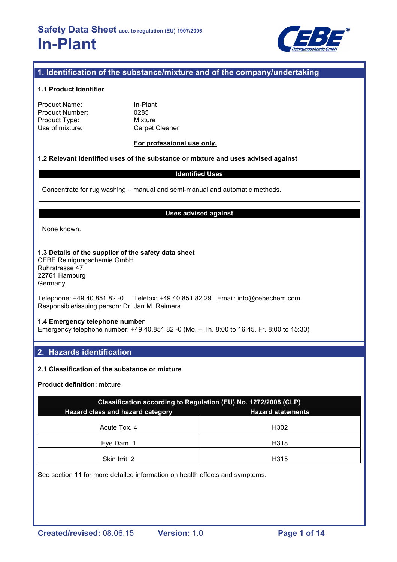

## **1. Identification of the substance/mixture and of the company/undertaking**

### **1.1 Product Identifier**

Product Name: In-Plant Product Number: 0285 Product Type: Mixture<br>
Use of mixture: Carpet Cleaner Use of mixture:

### **For professional use only.**

### **1.2 Relevant identified uses of the substance or mixture and uses advised against**

### **Identified Uses**

Concentrate for rug washing – manual and semi-manual and automatic methods.

#### **Uses advised against**

None known.

### **1.3 Details of the supplier of the safety data sheet**

CEBE Reinigungschemie GmbH Ruhrstrasse 47 22761 Hamburg **Germany** 

Telephone: +49.40.851 82 -0 Telefax: +49.40.851 82 29 Email: info@cebechem.com Responsible/issuing person: Dr. Jan M. Reimers

#### **1.4 Emergency telephone number**

Emergency telephone number: +49.40.851 82 -0 (Mo. – Th. 8:00 to 16:45, Fr. 8:00 to 15:30)

### **2. Hazards identification**

### **2.1 Classification of the substance or mixture**

### **Product definition:** mixture

| Classification according to Regulation (EU) No. 1272/2008 (CLP) |      |  |  |  |
|-----------------------------------------------------------------|------|--|--|--|
| Hazard class and hazard category<br><b>Hazard statements</b>    |      |  |  |  |
| Acute Tox, 4                                                    | H302 |  |  |  |
| Eye Dam. 1                                                      | H318 |  |  |  |
| Skin Irrit. 2                                                   | H315 |  |  |  |

See section 11 for more detailed information on health effects and symptoms.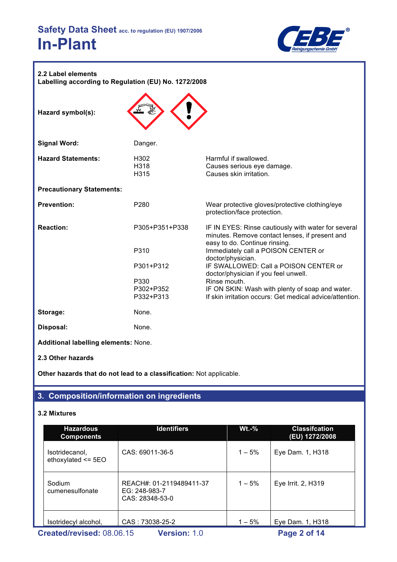

| 2.2 Label elements<br>Labelling according to Regulation (EU) No. 1272/2008 |                                  |                                                                                                                                        |  |  |
|----------------------------------------------------------------------------|----------------------------------|----------------------------------------------------------------------------------------------------------------------------------------|--|--|
| Hazard symbol(s):                                                          |                                  |                                                                                                                                        |  |  |
| <b>Signal Word:</b>                                                        | Danger.                          |                                                                                                                                        |  |  |
| <b>Hazard Statements:</b>                                                  | H <sub>302</sub><br>H318<br>H315 | Harmful if swallowed.<br>Causes serious eye damage.<br>Causes skin irritation.                                                         |  |  |
| <b>Precautionary Statements:</b>                                           |                                  |                                                                                                                                        |  |  |
| <b>Prevention:</b>                                                         | P280                             | Wear protective gloves/protective clothing/eye<br>protection/face protection.                                                          |  |  |
| <b>Reaction:</b>                                                           | P305+P351+P338                   | IF IN EYES: Rinse cautiously with water for several<br>minutes. Remove contact lenses, if present and<br>easy to do. Continue rinsing. |  |  |
|                                                                            | P310                             | Immediately call a POISON CENTER or<br>doctor/physician.                                                                               |  |  |
|                                                                            | P301+P312                        | IF SWALLOWED: Call a POISON CENTER or<br>doctor/physician if you feel unwell.                                                          |  |  |
|                                                                            | P330<br>P302+P352<br>P332+P313   | Rinse mouth.<br>IF ON SKIN: Wash with plenty of soap and water.<br>If skin irritation occurs: Get medical advice/attention.            |  |  |
| Storage:                                                                   | None.                            |                                                                                                                                        |  |  |
| Disposal:                                                                  | None.                            |                                                                                                                                        |  |  |
| Additional labelling elements: None.                                       |                                  |                                                                                                                                        |  |  |

**2.3 Other hazards**

**Other hazards that do not lead to a classification:** Not applicable.

## **3. Composition/information on ingredients**

## **3.2 Mixtures**

| <b>Hazardous</b><br><b>Components</b>                            | <b>Identifiers</b>                                           | $Wt.-%$   | <b>Classifcation</b><br>(EU) 1272/2008 |  |  |
|------------------------------------------------------------------|--------------------------------------------------------------|-----------|----------------------------------------|--|--|
| Isotridecanol,<br>ethoxylated $\le$ 5EO                          | CAS: 69011-36-5                                              | $1 - 5\%$ | Eye Dam. 1, H318                       |  |  |
| Sodium<br>cumenesulfonate                                        | REACH#: 01-2119489411-37<br>EG: 248-983-7<br>CAS: 28348-53-0 | $1 - 5%$  | Eye Irrit. 2, H319                     |  |  |
| Isotridecyl alcohol,                                             | CAS: 73038-25-2                                              | $1 - 5%$  | Eye Dam. 1, H318                       |  |  |
| Created/revised: 08.06.15<br><b>Version: 1.0</b><br>Page 2 of 14 |                                                              |           |                                        |  |  |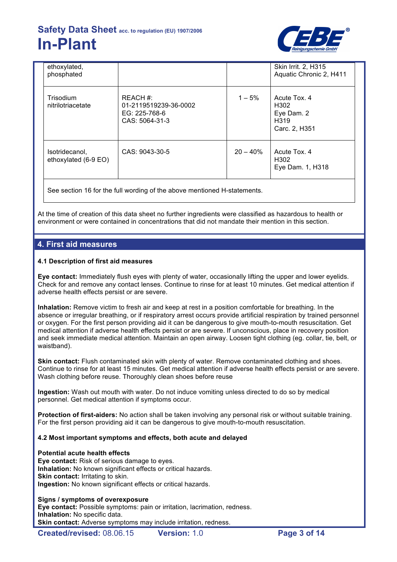

| ethoxylated,<br>phosphated                                               |                                                                      |             | Skin Irrit. 2, H315<br>Aquatic Chronic 2, H411                          |
|--------------------------------------------------------------------------|----------------------------------------------------------------------|-------------|-------------------------------------------------------------------------|
| Trisodium<br>nitrilotriacetate                                           | REACH #:<br>01-2119519239-36-0002<br>EG: 225-768-6<br>CAS: 5064-31-3 | $1 - 5%$    | Acute Tox, 4<br>H302<br>Eye Dam. 2<br>H <sub>319</sub><br>Carc. 2, H351 |
| Isotridecanol,<br>ethoxylated (6-9 EO)                                   | CAS: 9043-30-5                                                       | $20 - 40\%$ | Acute Tox, 4<br>H <sub>302</sub><br>Eye Dam. 1, H318                    |
| See section 16 for the full wording of the above mentioned H-statements. |                                                                      |             |                                                                         |

At the time of creation of this data sheet no further ingredients were classified as hazardous to health or environment or were contained in concentrations that did not mandate their mention in this section.

## **4. First aid measures**

### **4.1 Description of first aid measures**

**Eye contact:** Immediately flush eyes with plenty of water, occasionally lifting the upper and lower eyelids. Check for and remove any contact lenses. Continue to rinse for at least 10 minutes. Get medical attention if adverse health effects persist or are severe.

**Inhalation:** Remove victim to fresh air and keep at rest in a position comfortable for breathing. In the absence or irregular breathing, or if respiratory arrest occurs provide artificial respiration by trained personnel or oxygen. For the first person providing aid it can be dangerous to give mouth-to-mouth resuscitation. Get medical attention if adverse health effects persist or are severe. If unconscious, place in recovery position and seek immediate medical attention. Maintain an open airway. Loosen tight clothing (eg. collar, tie, belt, or waistband).

**Skin contact:** Flush contaminated skin with plenty of water. Remove contaminated clothing and shoes. Continue to rinse for at least 15 minutes. Get medical attention if adverse health effects persist or are severe. Wash clothing before reuse. Thoroughly clean shoes before reuse

**Ingestion:** Wash out mouth with water. Do not induce vomiting unless directed to do so by medical personnel. Get medical attention if symptoms occur.

**Protection of first-aiders:** No action shall be taken involving any personal risk or without suitable training. For the first person providing aid it can be dangerous to give mouth-to-mouth resuscitation.

### **4.2 Most important symptoms and effects, both acute and delayed**

## **Potential acute health effects**

**Eye contact:** Risk of serious damage to eyes. **Inhalation:** No known significant effects or critical hazards. **Skin contact: Irritating to skin. Ingestion:** No known significant effects or critical hazards.

### **Signs / symptoms of overexposure**

**Eye contact:** Possible symptoms: pain or irritation, lacrimation, redness. **Inhalation:** No specific data. **Skin contact:** Adverse symptoms may include irritation, redness.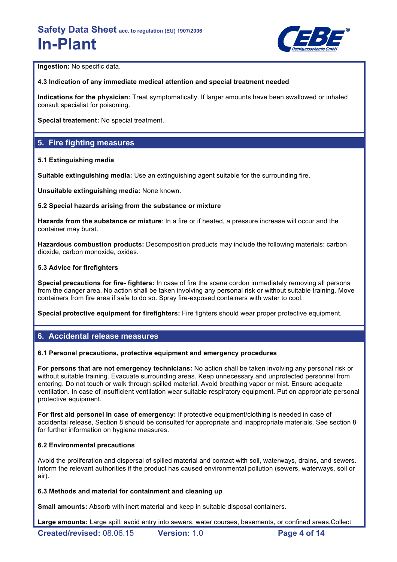

**Ingestion:** No specific data.

### **4.3 Indication of any immediate medical attention and special treatment needed**

**Indications for the physician:** Treat symptomatically. If larger amounts have been swallowed or inhaled consult specialist for poisoning.

**Special treatement:** No special treatment.

## **5. Fire fighting measures**

### **5.1 Extinguishing media**

**Suitable extinguishing media:** Use an extinguishing agent suitable for the surrounding fire.

**Unsuitable extinguishing media:** None known.

### **5.2 Special hazards arising from the substance or mixture**

**Hazards from the substance or mixture**: In a fire or if heated, a pressure increase will occur and the container may burst.

**Hazardous combustion products:** Decomposition products may include the following materials: carbon dioxide, carbon monoxide, oxides.

### **5.3 Advice for firefighters**

**Special precautions for fire- fighters:** In case of fire the scene cordon immediately removing all persons from the danger area. No action shall be taken involving any personal risk or without suitable training. Move containers from fire area if safe to do so. Spray fire-exposed containers with water to cool.

**Special protective equipment for firefighters:** Fire fighters should wear proper protective equipment.

## **6. Accidental release measures**

### **6.1 Personal precautions, protective equipment and emergency procedures**

**For persons that are not emergency technicians:** No action shall be taken involving any personal risk or without suitable training. Evacuate surrounding areas. Keep unnecessary and unprotected personnel from entering. Do not touch or walk through spilled material. Avoid breathing vapor or mist. Ensure adequate ventilation. In case of insufficient ventilation wear suitable respiratory equipment. Put on appropriate personal protective equipment.

**For first aid personel in case of emergency:** If protective equipment/clothing is needed in case of accidental release, Section 8 should be consulted for appropriate and inappropriate materials. See section 8 for further information on hygiene measures.

### **6.2 Environmental precautions**

Avoid the proliferation and dispersal of spilled material and contact with soil, waterways, drains, and sewers. Inform the relevant authorities if the product has caused environmental pollution (sewers, waterways, soil or air).

### **6.3 Methods and material for containment and cleaning up**

**Small amounts:** Absorb with inert material and keep in suitable disposal containers.

**Large amounts:** Large spill: avoid entry into sewers, water courses, basements, or confined areas.Collect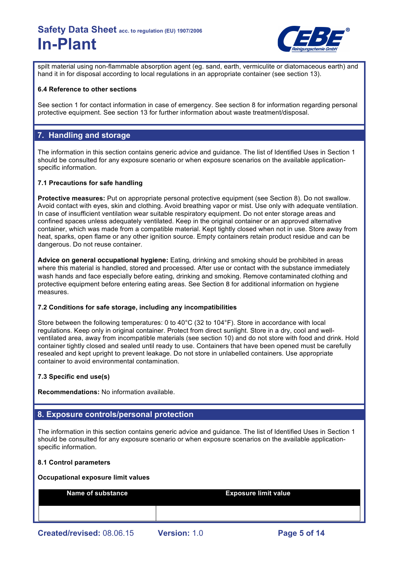

spilt material using non-flammable absorption agent (eg. sand, earth, vermiculite or diatomaceous earth) and hand it in for disposal according to local regulations in an appropriate container (see section 13).

### **6.4 Reference to other sections**

See section 1 for contact information in case of emergency. See section 8 for information regarding personal protective equipment. See section 13 for further information about waste treatment/disposal.

## **7. Handling and storage**

The information in this section contains generic advice and guidance. The list of Identified Uses in Section 1 should be consulted for any exposure scenario or when exposure scenarios on the available applicationspecific information.

### **7.1 Precautions for safe handling**

**Protective measures:** Put on appropriate personal protective equipment (see Section 8). Do not swallow. Avoid contact with eyes, skin and clothing. Avoid breathing vapor or mist. Use only with adequate ventilation. In case of insufficient ventilation wear suitable respiratory equipment. Do not enter storage areas and confined spaces unless adequately ventilated. Keep in the original container or an approved alternative container, which was made from a compatible material. Kept tightly closed when not in use. Store away from heat, sparks, open flame or any other ignition source. Empty containers retain product residue and can be dangerous. Do not reuse container.

**Advice on general occupational hygiene:** Eating, drinking and smoking should be prohibited in areas where this material is handled, stored and processed. After use or contact with the substance immediately wash hands and face especially before eating, drinking and smoking. Remove contaminated clothing and protective equipment before entering eating areas. See Section 8 for additional information on hygiene measures.

#### **7.2 Conditions for safe storage, including any incompatibilities**

Store between the following temperatures: 0 to 40°C (32 to 104°F). Store in accordance with local regulations. Keep only in original container. Protect from direct sunlight. Store in a dry, cool and wellventilated area, away from incompatible materials (see section 10) and do not store with food and drink. Hold container tightly closed and sealed until ready to use. Containers that have been opened must be carefully resealed and kept upright to prevent leakage. Do not store in unlabelled containers. Use appropriate container to avoid environmental contamination.

### **7.3 Specific end use(s)**

**Recommendations:** No information available.

## **8. Exposure controls/personal protection**

The information in this section contains generic advice and guidance. The list of Identified Uses in Section 1 should be consulted for any exposure scenario or when exposure scenarios on the available applicationspecific information.

#### **8.1 Control parameters**

#### **Occupational exposure limit values**

| Name of substance         |                     | <b>Exposure limit value</b> |
|---------------------------|---------------------|-----------------------------|
|                           |                     |                             |
| Created/revised: 08.06.15 | <b>Version: 1.0</b> | Page 5 of 14                |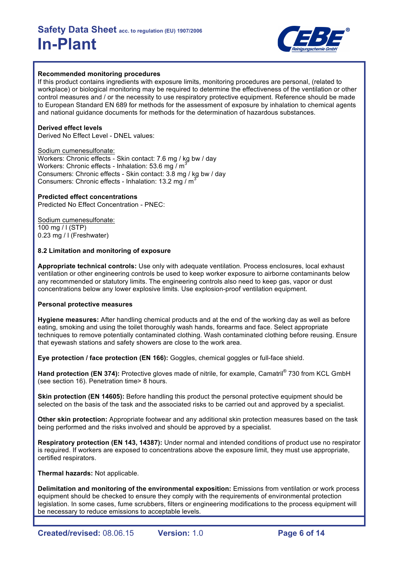

### **Recommended monitoring procedures**

If this product contains ingredients with exposure limits, monitoring procedures are personal, (related to workplace) or biological monitoring may be required to determine the effectiveness of the ventilation or other control measures and / or the necessity to use respiratory protective equipment. Reference should be made to European Standard EN 689 for methods for the assessment of exposure by inhalation to chemical agents and national guidance documents for methods for the determination of hazardous substances.

## **Derived effect levels**

Derived No Effect Level - DNEL values:

Sodium cumenesulfonate: Workers: Chronic effects - Skin contact: 7.6 mg / kg bw / day Workers: Chronic effects - Inhalation: 53.6 mg  $\overline{M}$ Consumers: Chronic effects - Skin contact: 3.8 mg / kg bw / day Consumers: Chronic effects - Inhalation: 13.2 mg  $/m<sup>3</sup>$ 

### **Predicted effect concentrations**

Predicted No Effect Concentration - PNEC:

Sodium cumenesulfonate: 100 mg / l (STP) 0.23 mg / l (Freshwater)

### **8.2 Limitation and monitoring of exposure**

**Appropriate technical controls:** Use only with adequate ventilation. Process enclosures, local exhaust ventilation or other engineering controls be used to keep worker exposure to airborne contaminants below any recommended or statutory limits. The engineering controls also need to keep gas, vapor or dust concentrations below any lower explosive limits. Use explosion-proof ventilation equipment.

### **Personal protective measures**

**Hygiene measures:** After handling chemical products and at the end of the working day as well as before eating, smoking and using the toilet thoroughly wash hands, forearms and face. Select appropriate techniques to remove potentially contaminated clothing. Wash contaminated clothing before reusing. Ensure that eyewash stations and safety showers are close to the work area.

**Eye protection / face protection (EN 166):** Goggles, chemical goggles or full-face shield.

**Hand protection (EN 374):** Protective gloves made of nitrile, for example, Camatril® 730 from KCL GmbH (see section 16). Penetration time> 8 hours.

**Skin protection (EN 14605):** Before handling this product the personal protective equipment should be selected on the basis of the task and the associated risks to be carried out and approved by a specialist.

**Other skin protection:** Appropriate footwear and any additional skin protection measures based on the task being performed and the risks involved and should be approved by a specialist.

**Respiratory protection (EN 143, 14387):** Under normal and intended conditions of product use no respirator is required. If workers are exposed to concentrations above the exposure limit, they must use appropriate, certified respirators.

**Thermal hazards:** Not applicable.

**Delimitation and monitoring of the environmental exposition:** Emissions from ventilation or work process equipment should be checked to ensure they comply with the requirements of environmental protection legislation. In some cases, fume scrubbers, filters or engineering modifications to the process equipment will be necessary to reduce emissions to acceptable levels.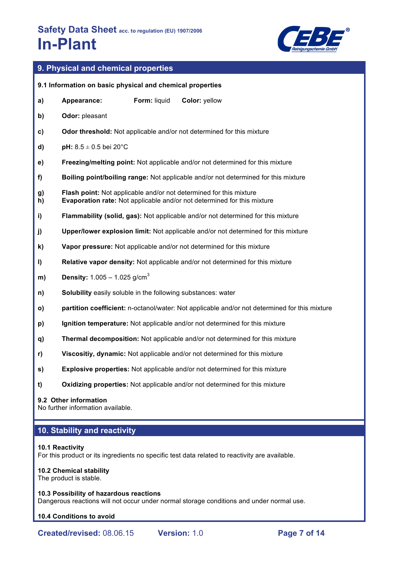

## **9. Physical and chemical properties**

|          | 9.1 Information on basic physical and chemical properties    |              |                                                                                                                                                             |
|----------|--------------------------------------------------------------|--------------|-------------------------------------------------------------------------------------------------------------------------------------------------------------|
| a)       | Appearance:                                                  | Form: liquid | Color: yellow                                                                                                                                               |
| b)       | Odor: pleasant                                               |              |                                                                                                                                                             |
| c)       |                                                              |              | Odor threshold: Not applicable and/or not determined for this mixture                                                                                       |
| d)       | <b>pH:</b> $8.5 \pm 0.5$ bei 20°C                            |              |                                                                                                                                                             |
| e)       |                                                              |              | Freezing/melting point: Not applicable and/or not determined for this mixture                                                                               |
| f)       |                                                              |              | Boiling point/boiling range: Not applicable and/or not determined for this mixture                                                                          |
| g)<br>h) |                                                              |              | <b>Flash point:</b> Not applicable and/or not determined for this mixture<br><b>Evaporation rate:</b> Not applicable and/or not determined for this mixture |
| i)       |                                                              |              | Flammability (solid, gas): Not applicable and/or not determined for this mixture                                                                            |
| j)       |                                                              |              | Upper/lower explosion limit: Not applicable and/or not determined for this mixture                                                                          |
| k)       |                                                              |              | Vapor pressure: Not applicable and/or not determined for this mixture                                                                                       |
| I)       |                                                              |              | Relative vapor density: Not applicable and/or not determined for this mixture                                                                               |
| m)       | <b>Density:</b> $1.005 - 1.025$ g/cm <sup>3</sup>            |              |                                                                                                                                                             |
| n)       | Solubility easily soluble in the following substances: water |              |                                                                                                                                                             |
| O)       |                                                              |              | partition coefficient: n-octanol/water: Not applicable and/or not determined for this mixture                                                               |
| p)       |                                                              |              | Ignition temperature: Not applicable and/or not determined for this mixture                                                                                 |
| q)       |                                                              |              | Thermal decomposition: Not applicable and/or not determined for this mixture                                                                                |
| r)       |                                                              |              | Viscositiy, dynamic: Not applicable and/or not determined for this mixture                                                                                  |
| s)       |                                                              |              | Explosive properties: Not applicable and/or not determined for this mixture                                                                                 |
| t)       |                                                              |              | Oxidizing properties: Not applicable and/or not determined for this mixture                                                                                 |
|          | 9.2 Other information<br>No further information available.   |              |                                                                                                                                                             |

## **10. Stability and reactivity**

#### **10.1 Reactivity**

For this product or its ingredients no specific test data related to reactivity are available.

#### **10.2 Chemical stability**

The product is stable.

#### **10.3 Possibility of hazardous reactions**

Dangerous reactions will not occur under normal storage conditions and under normal use.

### **10.4 Conditions to avoid**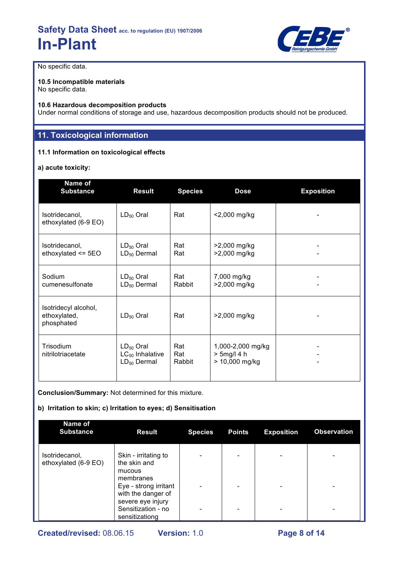

No specific data.

#### **10.5 Incompatible materials** No specific data.

### **10.6 Hazardous decomposition products**

Under normal conditions of storage and use, hazardous decomposition products should not be produced.

## **11. Toxicological information**

### **11.1 Information on toxicological effects**

### **a) acute toxicity:**

| Name of<br><b>Substance</b>                        | <b>Result</b>                                              | <b>Species</b>       | <b>Dose</b>                                           | <b>Exposition</b> |
|----------------------------------------------------|------------------------------------------------------------|----------------------|-------------------------------------------------------|-------------------|
| Isotridecanol,<br>ethoxylated (6-9 EO)             | $LD_{50}$ Oral                                             | Rat                  | <2,000 mg/kg                                          |                   |
| Isotridecanol,<br>ethoxylated $\le$ 5EO            | $LD_{50}$ Oral<br>$LD_{50}$ Dermal                         | Rat<br>Rat           | >2,000 mg/kg<br>>2,000 mg/kg                          |                   |
| Sodium<br>cumenesulfonate                          | $LD_{50}$ Oral<br>$LD_{50}$ Dermal                         | Rat<br>Rabbit        | 7,000 mg/kg<br>>2,000 mg/kg                           |                   |
| Isotridecyl alcohol,<br>ethoxylated,<br>phosphated | $LD_{50}$ Oral                                             | Rat                  | >2,000 mg/kg                                          |                   |
| Trisodium<br>nitrilotriacetate                     | $LD_{50}$ Oral<br>$LC_{50}$ Inhalative<br>$LD_{50}$ Dermal | Rat<br>Rat<br>Rabbit | 1,000-2,000 mg/kg<br>$> 5$ mg/l 4 h<br>> 10,000 mg/kg |                   |

**Conclusion/Summary:** Not determined for this mixture.

## **b) Irritation to skin; c) Irritation to eyes; d) Sensitisation**

| <b>Name of</b><br><b>Substance</b>     | <b>Result</b>                                             | <b>Species</b> | <b>Points</b>            | <b>Exposition</b>            | <b>Observation</b> |
|----------------------------------------|-----------------------------------------------------------|----------------|--------------------------|------------------------------|--------------------|
| Isotridecanol,<br>ethoxylated (6-9 EO) | Skin - irritating to<br>the skin and<br>mucous            |                | ٠                        | $\qquad \qquad \blacksquare$ |                    |
|                                        | membranes<br>Eye - strong irritant<br>with the danger of  |                | $\overline{\phantom{0}}$ | $\overline{\phantom{a}}$     |                    |
|                                        | severe eye injury<br>Sensitization - no<br>sensitizationg |                | ۰                        | $\overline{\phantom{0}}$     |                    |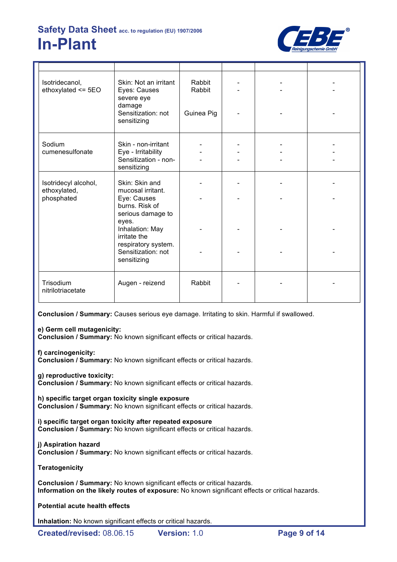

| Isotridecanol,<br>ethoxylated $\le$ 5EO            | Skin: Not an irritant<br>Eyes: Causes<br>severe eye<br>damage<br>Sensitization: not<br>sensitizing   | Rabbit<br>Rabbit<br>Guinea Pig |  |  |
|----------------------------------------------------|------------------------------------------------------------------------------------------------------|--------------------------------|--|--|
| Sodium<br>cumenesulfonate                          | Skin - non-irritant<br>Eye - Irritability<br>Sensitization - non-<br>sensitizing                     |                                |  |  |
| Isotridecyl alcohol,<br>ethoxylated,<br>phosphated | Skin: Skin and<br>mucosal irritant.<br>Eye: Causes<br>burns. Risk of<br>serious damage to            |                                |  |  |
|                                                    | eyes.<br>Inhalation: May<br>irritate the<br>respiratory system.<br>Sensitization: not<br>sensitizing |                                |  |  |
| Trisodium<br>nitrilotriacetate                     | Augen - reizend                                                                                      | Rabbit                         |  |  |

**Conclusion / Summary:** Causes serious eye damage. Irritating to skin. Harmful if swallowed.

## **e) Germ cell mutagenicity:**

**Conclusion / Summary:** No known significant effects or critical hazards.

## **f) carcinogenicity:**

**Conclusion / Summary:** No known significant effects or critical hazards.

### **g) reproductive toxicity:**

**Conclusion / Summary:** No known significant effects or critical hazards.

**h) specific target organ toxicity single exposure Conclusion / Summary:** No known significant effects or critical hazards.

**i) specific target organ toxicity after repeated exposure Conclusion / Summary:** No known significant effects or critical hazards.

### **j) Aspiration hazard**

**Conclusion / Summary:** No known significant effects or critical hazards.

### **Teratogenicity**

**Conclusion / Summary:** No known significant effects or critical hazards. **Information on the likely routes of exposure:** No known significant effects or critical hazards.

## **Potential acute health effects**

**Inhalation:** No known significant effects or critical hazards.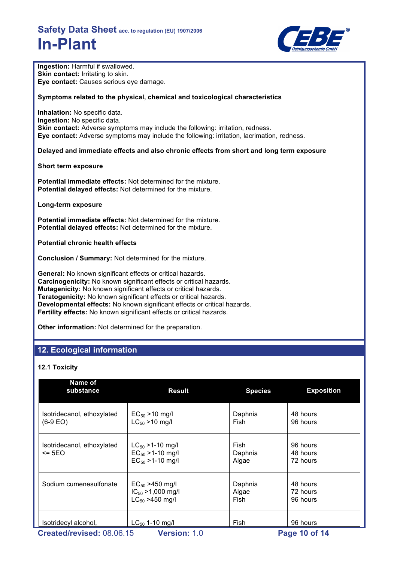

| Ingestion: Harmful if swallowed.<br>Skin contact: Irritating to skin.<br>Eye contact: Causes serious eye damage.                                                                                                                                                                                                                                                                                                                                                                       |                                                                                                                                   |                  |                                  |  |  |  |  |
|----------------------------------------------------------------------------------------------------------------------------------------------------------------------------------------------------------------------------------------------------------------------------------------------------------------------------------------------------------------------------------------------------------------------------------------------------------------------------------------|-----------------------------------------------------------------------------------------------------------------------------------|------------------|----------------------------------|--|--|--|--|
| Symptoms related to the physical, chemical and toxicological characteristics                                                                                                                                                                                                                                                                                                                                                                                                           |                                                                                                                                   |                  |                                  |  |  |  |  |
| Inhalation: No specific data.<br>Ingestion: No specific data.<br>Skin contact: Adverse symptoms may include the following: irritation, redness.<br>Eye contact: Adverse symptoms may include the following: irritation, lacrimation, redness.                                                                                                                                                                                                                                          |                                                                                                                                   |                  |                                  |  |  |  |  |
|                                                                                                                                                                                                                                                                                                                                                                                                                                                                                        | Delayed and immediate effects and also chronic effects from short and long term exposure                                          |                  |                                  |  |  |  |  |
| Short term exposure                                                                                                                                                                                                                                                                                                                                                                                                                                                                    |                                                                                                                                   |                  |                                  |  |  |  |  |
| Potential delayed effects: Not determined for the mixture.                                                                                                                                                                                                                                                                                                                                                                                                                             | <b>Potential immediate effects:</b> Not determined for the mixture.                                                               |                  |                                  |  |  |  |  |
| Long-term exposure                                                                                                                                                                                                                                                                                                                                                                                                                                                                     |                                                                                                                                   |                  |                                  |  |  |  |  |
|                                                                                                                                                                                                                                                                                                                                                                                                                                                                                        | <b>Potential immediate effects:</b> Not determined for the mixture.<br>Potential delayed effects: Not determined for the mixture. |                  |                                  |  |  |  |  |
| <b>Potential chronic health effects</b>                                                                                                                                                                                                                                                                                                                                                                                                                                                |                                                                                                                                   |                  |                                  |  |  |  |  |
| <b>Conclusion / Summary: Not determined for the mixture.</b>                                                                                                                                                                                                                                                                                                                                                                                                                           |                                                                                                                                   |                  |                                  |  |  |  |  |
| General: No known significant effects or critical hazards.<br>Carcinogenicity: No known significant effects or critical hazards.<br>Mutagenicity: No known significant effects or critical hazards.<br>Teratogenicity: No known significant effects or critical hazards.<br>Developmental effects: No known significant effects or critical hazards.<br>Fertility effects: No known significant effects or critical hazards.<br>Other information: Not determined for the preparation. |                                                                                                                                   |                  |                                  |  |  |  |  |
| 12. Ecological information                                                                                                                                                                                                                                                                                                                                                                                                                                                             |                                                                                                                                   |                  |                                  |  |  |  |  |
|                                                                                                                                                                                                                                                                                                                                                                                                                                                                                        |                                                                                                                                   |                  |                                  |  |  |  |  |
| <b>12.1 Toxicity</b>                                                                                                                                                                                                                                                                                                                                                                                                                                                                   |                                                                                                                                   |                  |                                  |  |  |  |  |
| Name of<br>substance                                                                                                                                                                                                                                                                                                                                                                                                                                                                   | <b>Result</b>                                                                                                                     | <b>Species</b>   | <b>Exposition</b>                |  |  |  |  |
| Isotridecanol, ethoxylated<br>$(6-9)$ FOI                                                                                                                                                                                                                                                                                                                                                                                                                                              | $EC_{50} > 10$ mg/l<br>$C_{\text{res}} > 10$ mall                                                                                 | Daphnia<br>Fish. | 48 hours<br>Q <sub>6</sub> hours |  |  |  |  |

| Created/revised: 08.06.15                | $LC_{50}$ 1-10 mg/l<br><b>Version: 1.0</b>                                  | 96 hours<br>Page 10 of 14 |                                  |  |
|------------------------------------------|-----------------------------------------------------------------------------|---------------------------|----------------------------------|--|
| Isotridecyl alcohol,                     |                                                                             | Fish                      |                                  |  |
| Sodium cumenesulfonate                   | $EC_{50} > 450$ mg/l<br>$IC_{50} > 1,000$ mg/l<br>$LC_{50} > 450$ mg/l      | Daphnia<br>Algae<br>Fish  | 48 hours<br>72 hours<br>96 hours |  |
| Isotridecanol, ethoxylated<br>$\leq$ 5EO | $LC_{50}$ > 1-10 mg/l<br>$EC_{50} > 1 - 10$ mg/l<br>$EC_{50} > 1 - 10$ mg/l | Fish<br>Daphnia<br>Algae  | 96 hours<br>48 hours<br>72 hours |  |
| $(6-9 EO)$                               | $LC_{50}$ > 10 mg/l                                                         | Fish                      | 96 hours                         |  |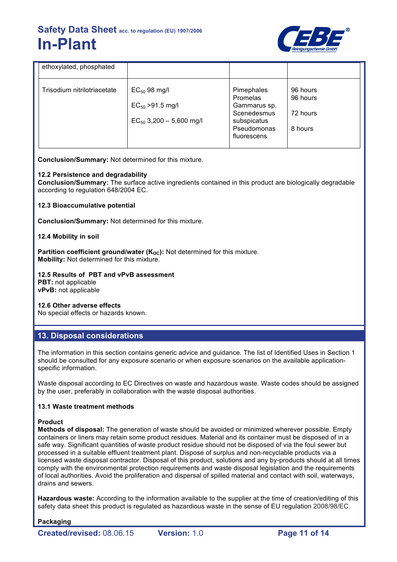

| Trisodium nitrilotriacetate<br>Pimephales<br>$EC_{50}$ 98 mg/l<br>96 hours<br>96 hours<br>Promelas                                                       | ethoxylated, phosphated |  |  |
|----------------------------------------------------------------------------------------------------------------------------------------------------------|-------------------------|--|--|
| $EC_{50} > 91.5$ mg/l<br>Gammarus sp.<br>Scenedesmus<br>72 hours<br>$EC_{50}$ 3,200 - 5,600 mg/l<br>subspicatus<br>Pseudomonas<br>8 hours<br>fluorescens |                         |  |  |

**Conclusion/Summary:** Not determined for this mixture.

### **12.2 Persistence and degradability**

**Conclusion/Summary:** The surface active ingredients contained in this product are biologically degradable according to regulation 648/2004 EC.

### **12.3 Bioaccumulative potential**

**Conclusion/Summary:** Not determined for this mixture.

### **12.4 Mobility in soil**

**Partition coefficient ground/water (K<sub>oc</sub>):** Not determined for this mixture. **Mobility:** Not determined for this mixture.

**12.5 Results of PBT and vPvB assessment PBT:** not applicable **vPvB:** not applicable

**12.6 Other adverse effects** No special effects or hazards known.

## **13. Disposal considerations**

The information in this section contains generic advice and guidance. The list of Identified Uses in Section 1 should be consulted for any exposure scenario or when exposure scenarios on the available applicationspecific information.

Waste disposal according to EC Directives on waste and hazardous waste. Waste codes should be assigned by the user, preferably in collaboration with the waste disposal authorities.

### **13.1 Waste treatment methods**

#### **Product**

**Methods of disposal:** The generation of waste should be avoided or minimized wherever possible. Empty containers or liners may retain some product residues. Material and its container must be disposed of in a safe way. Significant quantities of waste product residue should not be disposed of via the foul sewer but processed in a suitable effluent treatment plant. Dispose of surplus and non-recyclable products via a licensed waste disposal contractor. Disposal of this product, solutions and any by-products should at all times comply with the environmental protection requirements and waste disposal legislation and the requirements of local authorities. Avoid the proliferation and dispersal of spilled material and contact with soil, waterways, drains and sewers.

**Hazardous waste:** According to the information available to the supplier at the time of creation/editing of this safety data sheet this product is regulated as hazardious waste in the sense of EU regulation 2008/98/EC.

### **Packaging**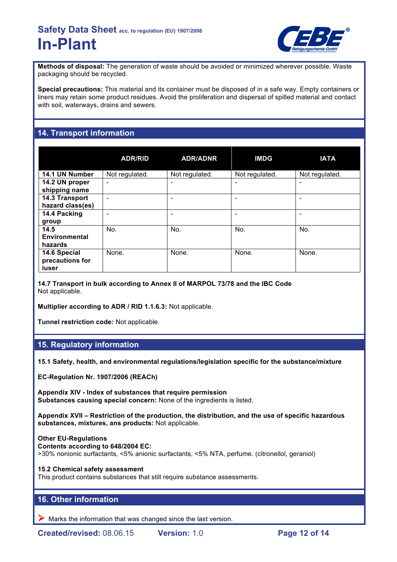

**Methods of disposal:** The generation of waste should be avoided or minimized wherever possible. Waste packaging should be recycled.

**Special precautions:** This material and its container must be disposed of in a safe way. Empty containers or liners may retain some product residues. Avoid the proliferation and dispersal of spilled material and contact with soil, waterways, drains and sewers.

## **14. Transport information**

|                                          | <b>ADR/RID</b>               | <b>ADR/ADNR</b> | <b>IMDG</b>    | <b>IATA</b>              |
|------------------------------------------|------------------------------|-----------------|----------------|--------------------------|
| 14.1 UN Number                           | Not regulated.               | Not regulated.  | Not regulated. | Not regulated.           |
| 14.2 UN proper<br>shipping name          | $\qquad \qquad \blacksquare$ | ۰               |                | $\overline{\phantom{0}}$ |
| 14.3 Transport<br>hazard class(es)       | $\overline{\phantom{0}}$     | -               |                |                          |
| 14.4 Packing<br>group                    |                              |                 |                |                          |
| 14.5<br><b>Environmental</b><br>hazards  | No.                          | No.             | No.            | No.                      |
| 14.6 Special<br>precautions for<br>iuser | None.                        | None.           | None.          | None.                    |

**14.7 Transport in bulk according to Annex II of MARPOL 73/78 and the IBC Code** Not applicable.

**Multiplier according to ADR / RID 1.1.6.3:** Not applicable.

**Tunnel restriction code:** Not applicable.

## **15. Regulatory information**

**15.1 Safety, health, and environmental regulations/legislation specific for the substance/mixture**

**EC-Regulation Nr. 1907/2006 (REACh)**

**Appendix XIV - Index of substances that require permission Substances causing special concern:** None of the ingredients is listed.

**Appendix XVII – Restriction of the production, the distribution, and the use of specific hazardous substances, mixtures, ans products:** Not applicable.

**Other EU-Regulations Contents according to 648/2004 EC:** >30% nonionic surfactants, <5% anionic surfactants, <5% NTA, perfume. (citronellol, geraniol)

**15.2 Chemical safety assessment**

This product contains substances that still require substance assessments.

## **16. Other information**

 $\triangleright$  Marks the information that was changed since the last version.

**Created/revised:** 08.06.15 **Version:** 1.0 **Page 12 of 14**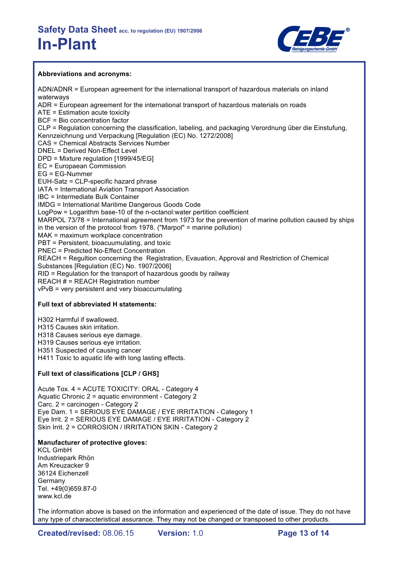

### **Abbreviations and acronyms:**

ADN/ADNR = European agreement for the international transport of hazardous materials on inland waterways ADR = European agreement for the international transport of hazardous materials on roads ATE = Estimation acute toxicity BCF = Bio concentration factor CLP = Regulation concerning the classification, labeling, and packaging Verordnung über die Einstufung, Kennzeichnung und Verpackung [Regulation (EC) No. 1272/2008] CAS = Chemical Abstracts Services Number DNEL = Derived Non-Effect Level DPD = Mixture regulation [1999/45/EG] EC = Europaean Commission EG = EG-Nummer EUH-Satz = CLP-specific hazard phrase IATA = International Aviation Transport Association IBC = Intermediate Bulk Container IMDG = International Maritime Dangerous Goods Code LogPow = Logarithm base-10 of the n-octanol:water pertition coefficient MARPOL 73/78 = International agreement from 1973 for the prevention of marine pollution caused by ships in the version of the protocol from 1978. ("Marpol" = marine pollution) MAK = maximum workplace concentration PBT = Persistent, bioacuumulating, and toxic PNEC = Predicted No-Effect Concentration REACH = Regultion concerning the Registration, Evauation, Approval and Restriction of Chemical Substances [Regulation (EC) No. 1907/2006] RID = Regulation for the transport of hazardous goods by railway REACH  $H = REACH$  Registration number vPvB = very persistent and very bioaccumulating

## **Full text of abbreviated H statements:**

H302 Harmful if swallowed.

H315 Causes skin irritation.

H318 Causes serious eye damage.

H319 Causes serious eye irritation.

H351 Suspected of causing cancer

H411 Toxic to aquatic life with long lasting effects.

### **Full text of classifications [CLP / GHS]**

Acute Tox. 4 = ACUTE TOXICITY: ORAL - Category 4 Aquatic Chronic 2 = aquatic environment - Category 2 Carc. 2 = carcinogen - Category 2 Eye Dam. 1 = SERIOUS EYE DAMAGE / EYE IRRITATION - Category 1 Eye Irrit. 2 = SERIOUS EYE DAMAGE / EYE IRRITATION - Category 2 Skin Irrit. 2 = CORROSION / IRRITATION SKIN - Category 2

### **Manufacturer of protective gloves:**

KCL GmbH Industriepark Rhön Am Kreuzacker 9 36124 Eichenzell Germany Tel. +49(0)659.87-0 www.kcl.de

The information above is based on the information and experienced of the date of issue. They do not have any type of characcteristical assurance. They may not be changed or transposed to other products.